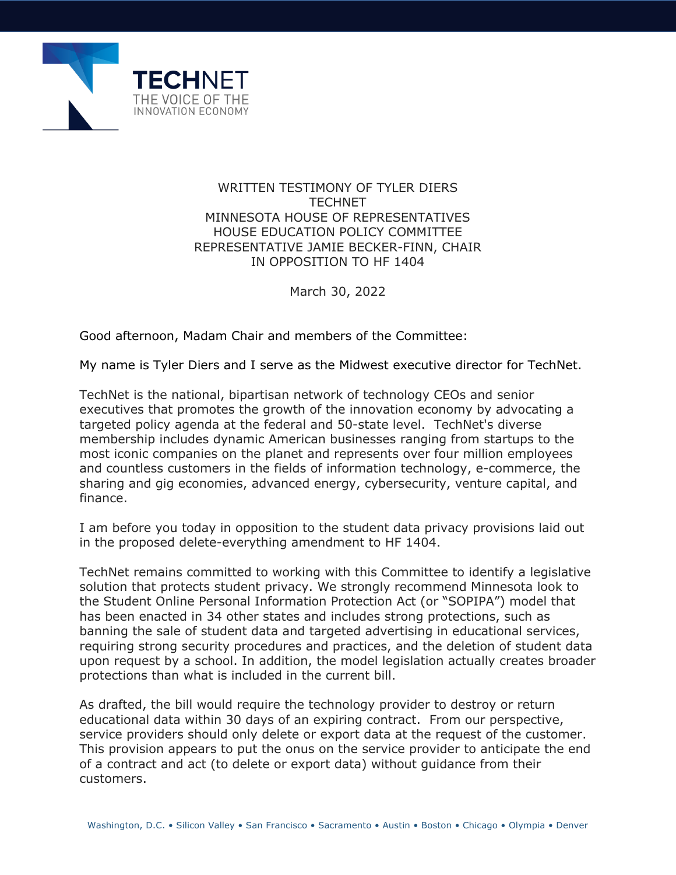

## WRITTEN TESTIMONY OF TYLER DIERS **TECHNET** MINNESOTA HOUSE OF REPRESENTATIVES HOUSE EDUCATION POLICY COMMITTEE REPRESENTATIVE JAMIE BECKER-FINN, CHAIR IN OPPOSITION TO HF 1404

March 30, 2022

Good afternoon, Madam Chair and members of the Committee:

My name is Tyler Diers and I serve as the Midwest executive director for TechNet.

TechNet is the national, bipartisan network of technology CEOs and senior executives that promotes the growth of the innovation economy by advocating a targeted policy agenda at the federal and 50-state level. TechNet's diverse membership includes dynamic American businesses ranging from startups to the most iconic companies on the planet and represents over four million employees and countless customers in the fields of information technology, e-commerce, the sharing and gig economies, advanced energy, cybersecurity, venture capital, and finance.

I am before you today in opposition to the student data privacy provisions laid out in the proposed delete-everything amendment to HF 1404.

TechNet remains committed to working with this Committee to identify a legislative solution that protects student privacy. We strongly recommend Minnesota look to the Student Online Personal Information Protection Act (or "SOPIPA") model that has been enacted in 34 other states and includes strong protections, such as banning the sale of student data and targeted advertising in educational services, requiring strong security procedures and practices, and the deletion of student data upon request by a school. In addition, the model legislation actually creates broader protections than what is included in the current bill.

As drafted, the bill would require the technology provider to destroy or return educational data within 30 days of an expiring contract. From our perspective, service providers should only delete or export data at the request of the customer. This provision appears to put the onus on the service provider to anticipate the end of a contract and act (to delete or export data) without guidance from their customers.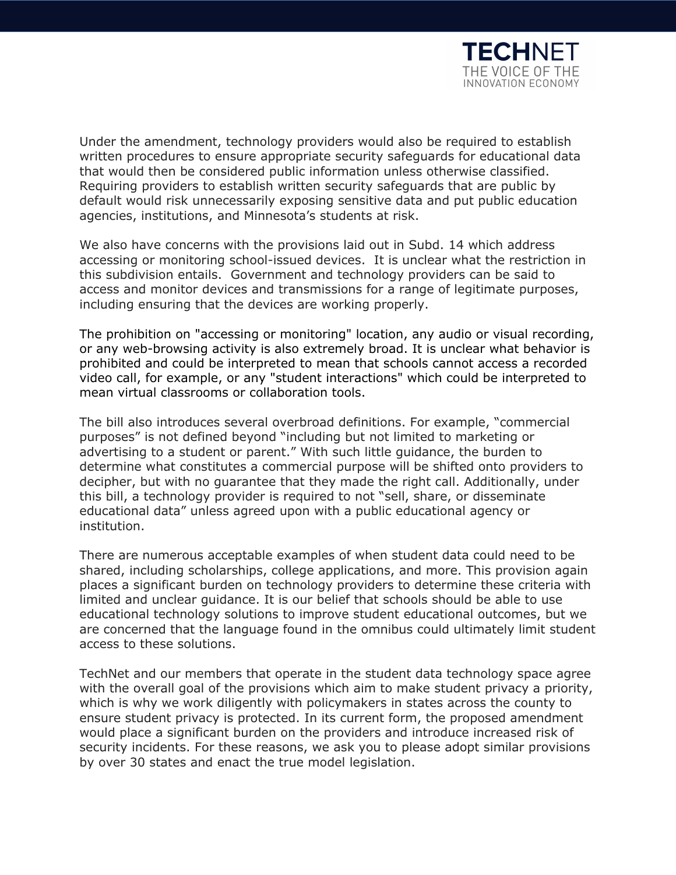

Under the amendment, technology providers would also be required to establish written procedures to ensure appropriate security safeguards for educational data that would then be considered public information unless otherwise classified. Requiring providers to establish written security safeguards that are public by default would risk unnecessarily exposing sensitive data and put public education agencies, institutions, and Minnesota's students at risk.

We also have concerns with the provisions laid out in Subd. 14 which address accessing or monitoring school-issued devices. It is unclear what the restriction in this subdivision entails. Government and technology providers can be said to access and monitor devices and transmissions for a range of legitimate purposes, including ensuring that the devices are working properly.

The prohibition on "accessing or monitoring" location, any audio or visual recording, or any web-browsing activity is also extremely broad. It is unclear what behavior is prohibited and could be interpreted to mean that schools cannot access a recorded video call, for example, or any "student interactions" which could be interpreted to mean virtual classrooms or collaboration tools.

The bill also introduces several overbroad definitions. For example, "commercial purposes" is not defined beyond "including but not limited to marketing or advertising to a student or parent." With such little guidance, the burden to determine what constitutes a commercial purpose will be shifted onto providers to decipher, but with no guarantee that they made the right call. Additionally, under this bill, a technology provider is required to not "sell, share, or disseminate educational data" unless agreed upon with a public educational agency or institution.

There are numerous acceptable examples of when student data could need to be shared, including scholarships, college applications, and more. This provision again places a significant burden on technology providers to determine these criteria with limited and unclear guidance. It is our belief that schools should be able to use educational technology solutions to improve student educational outcomes, but we are concerned that the language found in the omnibus could ultimately limit student access to these solutions.

TechNet and our members that operate in the student data technology space agree with the overall goal of the provisions which aim to make student privacy a priority, which is why we work diligently with policymakers in states across the county to ensure student privacy is protected. In its current form, the proposed amendment would place a significant burden on the providers and introduce increased risk of security incidents. For these reasons, we ask you to please adopt similar provisions by over 30 states and enact the true model legislation.